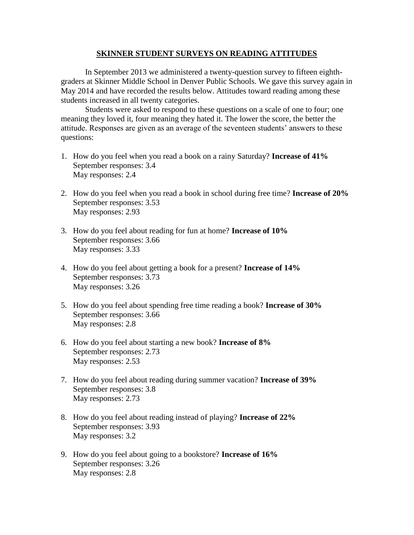## **SKINNER STUDENT SURVEYS ON READING ATTITUDES**

In September 2013 we administered a twenty-question survey to fifteen eighthgraders at Skinner Middle School in Denver Public Schools. We gave this survey again in May 2014 and have recorded the results below. Attitudes toward reading among these students increased in all twenty categories.

Students were asked to respond to these questions on a scale of one to four; one meaning they loved it, four meaning they hated it. The lower the score, the better the attitude. Responses are given as an average of the seventeen students' answers to these questions:

- 1. How do you feel when you read a book on a rainy Saturday? **Increase of 41%** September responses: 3.4 May responses: 2.4
- 2. How do you feel when you read a book in school during free time? **Increase of 20%** September responses: 3.53 May responses: 2.93
- 3. How do you feel about reading for fun at home? **Increase of 10%** September responses: 3.66 May responses: 3.33
- 4. How do you feel about getting a book for a present? **Increase of 14%** September responses: 3.73 May responses: 3.26
- 5. How do you feel about spending free time reading a book? **Increase of 30%** September responses: 3.66 May responses: 2.8
- 6. How do you feel about starting a new book? **Increase of 8%** September responses: 2.73 May responses: 2.53
- 7. How do you feel about reading during summer vacation? **Increase of 39%** September responses: 3.8 May responses: 2.73
- 8. How do you feel about reading instead of playing? **Increase of 22%** September responses: 3.93 May responses: 3.2
- 9. How do you feel about going to a bookstore? **Increase of 16%** September responses: 3.26 May responses: 2.8